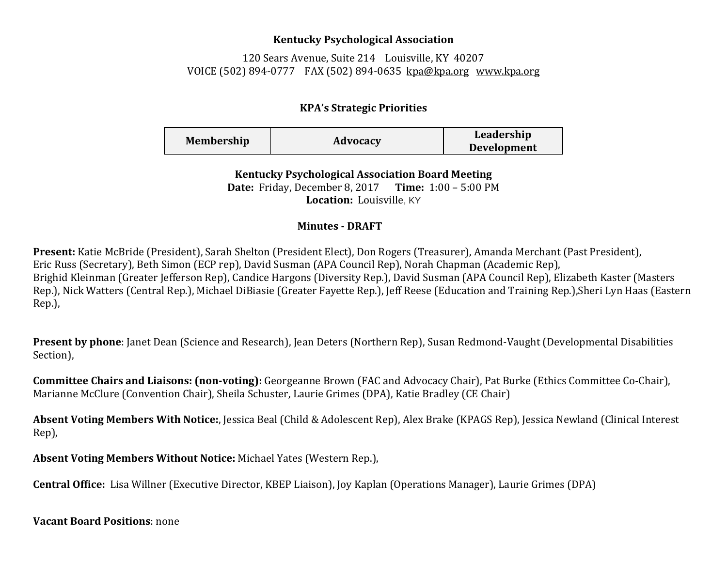## **Kentucky Psychological Association**

120 Sears Avenue, Suite 214 Louisville, KY 40207 VOICE (502) 894-0777 FAX (502) 894-0635 [kpa@kpa.org](mailto:kpa@kih.net) [www.kpa.org](http://www.kpa.org/)

## **KPA's Strategic Priorities**

| <b>Membership</b> | Advocacy | Leadership         |
|-------------------|----------|--------------------|
|                   |          | <b>Development</b> |

**Kentucky Psychological Association Board Meeting Date:** Friday, December 8, 2017 **Time:** 1:00 – 5:00 PM **Location:** Louisville, KY

## **Minutes - DRAFT**

**Present:** Katie McBride (President), Sarah Shelton (President Elect), Don Rogers (Treasurer), Amanda Merchant (Past President), Eric Russ (Secretary), Beth Simon (ECP rep), David Susman (APA Council Rep), Norah Chapman (Academic Rep), Brighid Kleinman (Greater Jefferson Rep), Candice Hargons (Diversity Rep.), David Susman (APA Council Rep), Elizabeth Kaster (Masters Rep.), Nick Watters (Central Rep.), Michael DiBiasie (Greater Fayette Rep.), Jeff Reese (Education and Training Rep.),Sheri Lyn Haas (Eastern Rep.),

**Present by phone**: Janet Dean (Science and Research), Jean Deters (Northern Rep), Susan Redmond-Vaught (Developmental Disabilities Section),

**Committee Chairs and Liaisons: (non-voting):** Georgeanne Brown (FAC and Advocacy Chair), Pat Burke (Ethics Committee Co-Chair), Marianne McClure (Convention Chair), Sheila Schuster, Laurie Grimes (DPA), Katie Bradley (CE Chair)

**Absent Voting Members With Notice:**, Jessica Beal (Child & Adolescent Rep), Alex Brake (KPAGS Rep), Jessica Newland (Clinical Interest Rep),

**Absent Voting Members Without Notice:** Michael Yates (Western Rep.),

**Central Office:** Lisa Willner (Executive Director, KBEP Liaison), Joy Kaplan (Operations Manager), Laurie Grimes (DPA)

**Vacant Board Positions**: none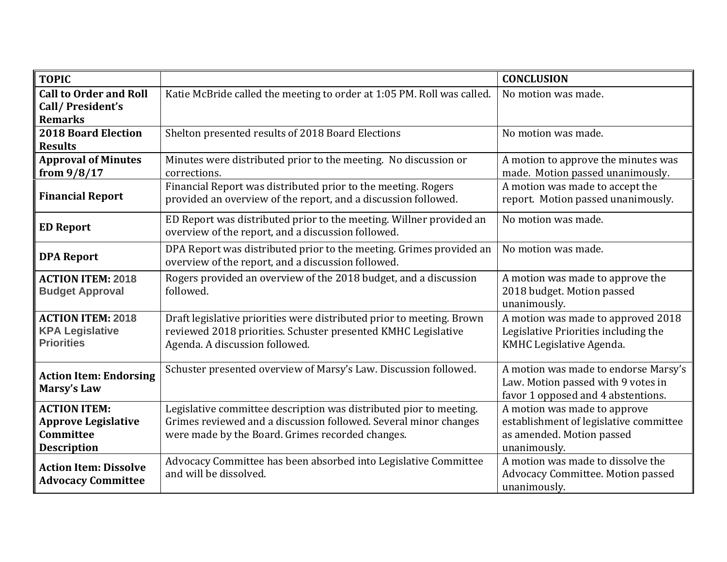| <b>TOPIC</b>                                                                         |                                                                                                                                                                                            | <b>CONCLUSION</b>                                                                                                   |
|--------------------------------------------------------------------------------------|--------------------------------------------------------------------------------------------------------------------------------------------------------------------------------------------|---------------------------------------------------------------------------------------------------------------------|
| <b>Call to Order and Roll</b><br>Call/President's<br><b>Remarks</b>                  | Katie McBride called the meeting to order at 1:05 PM. Roll was called.                                                                                                                     | No motion was made.                                                                                                 |
| <b>2018 Board Election</b><br><b>Results</b>                                         | Shelton presented results of 2018 Board Elections                                                                                                                                          | No motion was made.                                                                                                 |
| <b>Approval of Minutes</b><br>from $9/8/17$                                          | Minutes were distributed prior to the meeting. No discussion or<br>corrections.                                                                                                            | A motion to approve the minutes was<br>made. Motion passed unanimously.                                             |
| <b>Financial Report</b>                                                              | Financial Report was distributed prior to the meeting. Rogers<br>provided an overview of the report, and a discussion followed.                                                            | A motion was made to accept the<br>report. Motion passed unanimously.                                               |
| <b>ED Report</b>                                                                     | ED Report was distributed prior to the meeting. Willner provided an<br>overview of the report, and a discussion followed.                                                                  | No motion was made.                                                                                                 |
| <b>DPA Report</b>                                                                    | DPA Report was distributed prior to the meeting. Grimes provided an<br>overview of the report, and a discussion followed.                                                                  | No motion was made.                                                                                                 |
| <b>ACTION ITEM: 2018</b><br><b>Budget Approval</b>                                   | Rogers provided an overview of the 2018 budget, and a discussion<br>followed.                                                                                                              | A motion was made to approve the<br>2018 budget. Motion passed<br>unanimously.                                      |
| <b>ACTION ITEM: 2018</b><br><b>KPA Legislative</b><br><b>Priorities</b>              | Draft legislative priorities were distributed prior to meeting. Brown<br>reviewed 2018 priorities. Schuster presented KMHC Legislative<br>Agenda. A discussion followed.                   | A motion was made to approved 2018<br>Legislative Priorities including the<br>KMHC Legislative Agenda.              |
| <b>Action Item: Endorsing</b><br><b>Marsy's Law</b>                                  | Schuster presented overview of Marsy's Law. Discussion followed.                                                                                                                           | A motion was made to endorse Marsy's<br>Law. Motion passed with 9 votes in<br>favor 1 opposed and 4 abstentions.    |
| <b>ACTION ITEM:</b><br><b>Approve Legislative</b><br>Committee<br><b>Description</b> | Legislative committee description was distributed pior to meeting.<br>Grimes reviewed and a discussion followed. Several minor changes<br>were made by the Board. Grimes recorded changes. | A motion was made to approve<br>establishment of legislative committee<br>as amended. Motion passed<br>unanimously. |
| <b>Action Item: Dissolve</b><br><b>Advocacy Committee</b>                            | Advocacy Committee has been absorbed into Legislative Committee<br>and will be dissolved.                                                                                                  | A motion was made to dissolve the<br>Advocacy Committee. Motion passed<br>unanimously.                              |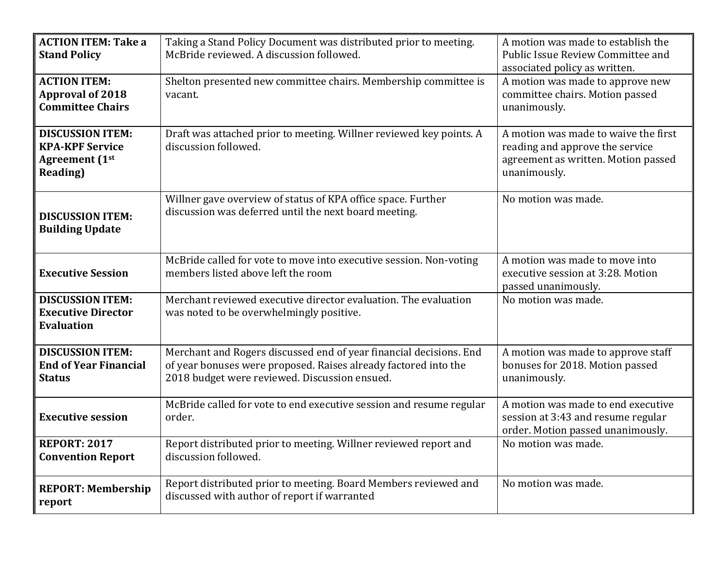| <b>ACTION ITEM: Take a</b><br><b>Stand Policy</b>                                              | Taking a Stand Policy Document was distributed prior to meeting.<br>McBride reviewed. A discussion followed.                                                                           | A motion was made to establish the<br>Public Issue Review Committee and<br>associated policy as written.                       |
|------------------------------------------------------------------------------------------------|----------------------------------------------------------------------------------------------------------------------------------------------------------------------------------------|--------------------------------------------------------------------------------------------------------------------------------|
| <b>ACTION ITEM:</b><br><b>Approval of 2018</b><br><b>Committee Chairs</b>                      | Shelton presented new committee chairs. Membership committee is<br>vacant.                                                                                                             | A motion was made to approve new<br>committee chairs. Motion passed<br>unanimously.                                            |
| <b>DISCUSSION ITEM:</b><br><b>KPA-KPF Service</b><br><b>Agreement</b> (1st<br><b>Reading</b> ) | Draft was attached prior to meeting. Willner reviewed key points. A<br>discussion followed.                                                                                            | A motion was made to waive the first<br>reading and approve the service<br>agreement as written. Motion passed<br>unanimously. |
| <b>DISCUSSION ITEM:</b><br><b>Building Update</b>                                              | Willner gave overview of status of KPA office space. Further<br>discussion was deferred until the next board meeting.                                                                  | No motion was made.                                                                                                            |
| <b>Executive Session</b>                                                                       | McBride called for vote to move into executive session. Non-voting<br>members listed above left the room                                                                               | A motion was made to move into<br>executive session at 3:28. Motion<br>passed unanimously.                                     |
| <b>DISCUSSION ITEM:</b><br><b>Executive Director</b><br><b>Evaluation</b>                      | Merchant reviewed executive director evaluation. The evaluation<br>was noted to be overwhelmingly positive.                                                                            | No motion was made.                                                                                                            |
| <b>DISCUSSION ITEM:</b><br><b>End of Year Financial</b><br><b>Status</b>                       | Merchant and Rogers discussed end of year financial decisions. End<br>of year bonuses were proposed. Raises already factored into the<br>2018 budget were reviewed. Discussion ensued. | A motion was made to approve staff<br>bonuses for 2018. Motion passed<br>unanimously.                                          |
| <b>Executive session</b>                                                                       | McBride called for vote to end executive session and resume regular<br>order.                                                                                                          | A motion was made to end executive<br>session at 3:43 and resume regular<br>order. Motion passed unanimously.                  |
| <b>REPORT: 2017</b><br><b>Convention Report</b>                                                | Report distributed prior to meeting. Willner reviewed report and<br>discussion followed.                                                                                               | No motion was made.                                                                                                            |
| <b>REPORT: Membership</b><br>report                                                            | Report distributed prior to meeting. Board Members reviewed and<br>discussed with author of report if warranted                                                                        | No motion was made.                                                                                                            |